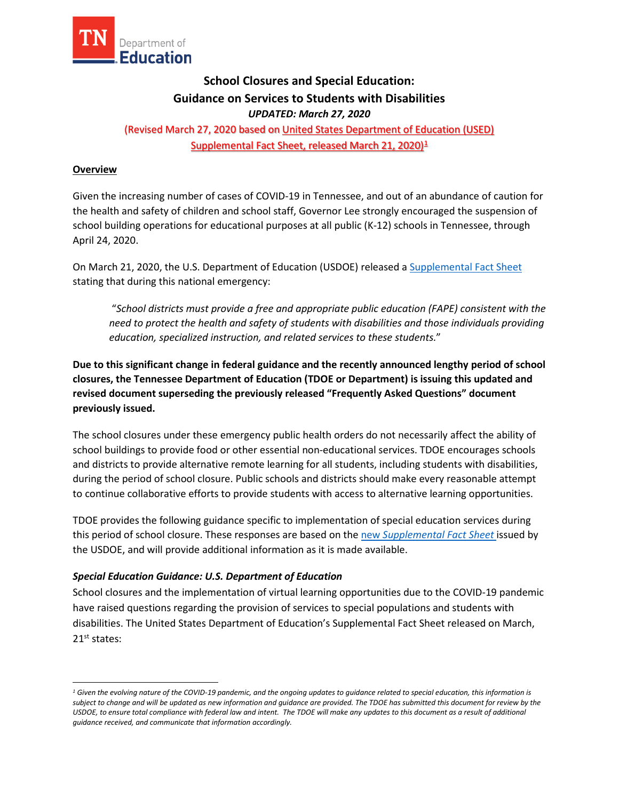

# **School Closures and Special Education: Guidance on Services to Students with Disabilities**  *UPDATED: March 27, 2020*

(Revised March 27, 2020 based on [United States Department of Education \(USED\)](https://www2.ed.gov/about/offices/list/ocr/frontpage/faq/rr/policyguidance/Supple%20Fact%20Sheet%203.21.20%20FINAL.pdf?utm_content=&utm_medium=email&utm_name=&utm_source=govdelivery&utm_term=)  [Supplemental Fact Sheet, released March 21, 2020\)](https://www2.ed.gov/about/offices/list/ocr/frontpage/faq/rr/policyguidance/Supple%20Fact%20Sheet%203.21.20%20FINAL.pdf?utm_content=&utm_medium=email&utm_name=&utm_source=govdelivery&utm_term=)<sup>[1](#page-0-0)</sup>

### **Overview**

**.** 

 Given the increasing number of cases of COVID-19 in Tennessee, and out of an abundance of caution for the health and safety of children and school staff, Governor Lee strongly encouraged the suspension of school building operations for educational purposes at all public (K-12) schools in Tennessee, through April 24, 2020.

On March 21, 2020, the U.S. Department of Education (USDOE) released a Supplemental Fact Sheet stating that during this national emergency:

 "*School districts must provide a free and appropriate public education (FAPE) consistent with the need to protect the health and safety of students with disabilities and those individuals providing education, specialized instruction, and related services to these students.*"

**Due to this significant change in federal guidance and the recently announced lengthy period of school closures, the Tennessee Department of Education (TDOE or Department) is issuing this updated and revised document superseding the previously released "Frequently Asked Questions" document previously issued.** 

 The school closures under these emergency public health orders do not necessarily affect the ability of school buildings to provide food or other essential non-educational services. TDOE encourages schools during the period of school closure. Public schools and districts should make every reasonable attempt to continue collaborative efforts to provide students with access to alternative learning opportunities. and districts to provide alternative remote learning for all students, including students with disabilities,

 this period of school closure. These responses are based on the new *[Supplemental Fact Sheet](https://www2.ed.gov/about/offices/list/ocr/frontpage/faq/rr/policyguidance/Supple%20Fact%20Sheet%203.21.20%20FINAL.pdf)* issued by TDOE provides the following guidance specific to implementation of special education services during the USDOE, and will provide additional information as it is made available.

### *Special Education Guidance: U.S. Department of Education*

 disabilities. The United States Department of Education's Supplemental Fact Sheet released on March, 21<sup>st</sup> states: School closures and the implementation of virtual learning opportunities due to the COVID-19 pandemic have raised questions regarding the provision of services to special populations and students with

<span id="page-0-0"></span>USDOE, to ensure total compliance with federal law and intent. The TDOE will make any updates to this document as a result of additional *1 Given the evolving nature of the COVID-19 pandemic, and the ongoing updates to guidance related to special education, this information is subject to change and will be updated as new information and guidance are provided. The TDOE has submitted this document for review by the guidance received, and communicate that information accordingly.*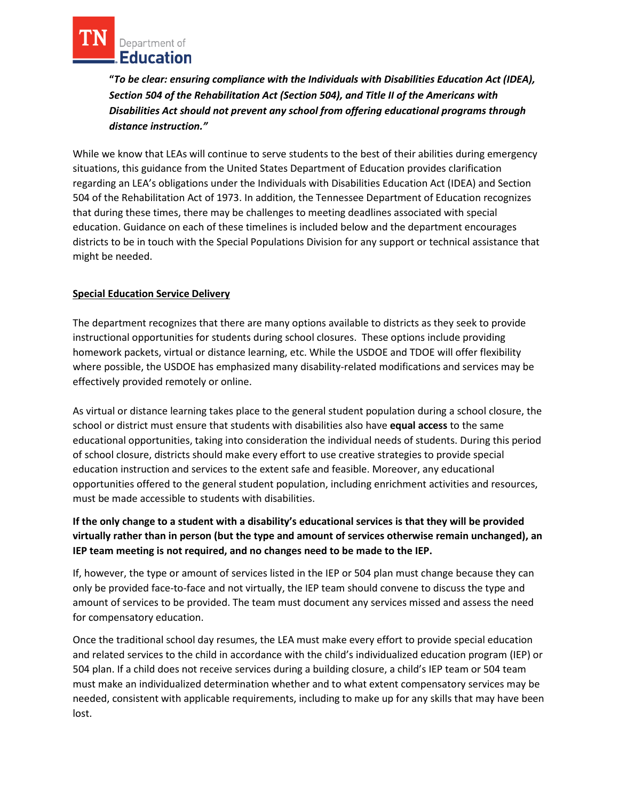

 *Section 504 of the Rehabilitation Act (Section 504), and Title II of the Americans with Disabilities Act should not prevent any school from offering educational programs through*  **"***To be clear: ensuring compliance with the Individuals with Disabilities Education Act (IDEA), distance instruction."* 

 regarding an LEA's obligations under the Individuals with Disabilities Education Act (IDEA) and Section education. Guidance on each of these timelines is included below and the department encourages While we know that LEAs will continue to serve students to the best of their abilities during emergency situations, this guidance from the United States Department of Education provides clarification 504 of the Rehabilitation Act of 1973. In addition, the Tennessee Department of Education recognizes that during these times, there may be challenges to meeting deadlines associated with special districts to be in touch with the Special Populations Division for any support or technical assistance that might be needed.

## **Special Education Service Delivery**

 where possible, the USDOE has emphasized many disability-related modifications and services may be effectively provided remotely or online. The department recognizes that there are many options available to districts as they seek to provide instructional opportunities for students during school closures. These options include providing homework packets, virtual or distance learning, etc. While the USDOE and TDOE will offer flexibility

 school or district must ensure that students with disabilities also have **equal access** to the same of school closure, districts should make every effort to use creative strategies to provide special must be made accessible to students with disabilities. As virtual or distance learning takes place to the general student population during a school closure, the educational opportunities, taking into consideration the individual needs of students. During this period education instruction and services to the extent safe and feasible. Moreover, any educational opportunities offered to the general student population, including enrichment activities and resources,

## **IEP team meeting is not required, and no changes need to be made to the IEP. If the only change to a student with a disability's educational services is that they will be provided virtually rather than in person (but the type and amount of services otherwise remain unchanged), an**

 amount of services to be provided. The team must document any services missed and assess the need If, however, the type or amount of services listed in the IEP or 504 plan must change because they can only be provided face-to-face and not virtually, the IEP team should convene to discuss the type and for compensatory education.

 Once the traditional school day resumes, the LEA must make every effort to provide special education and related services to the child in accordance with the child's individualized education program (IEP) or 504 plan. If a child does not receive services during a building closure, a child's IEP team or 504 team must make an individualized determination whether and to what extent compensatory services may be needed, consistent with applicable requirements, including to make up for any skills that may have been lost.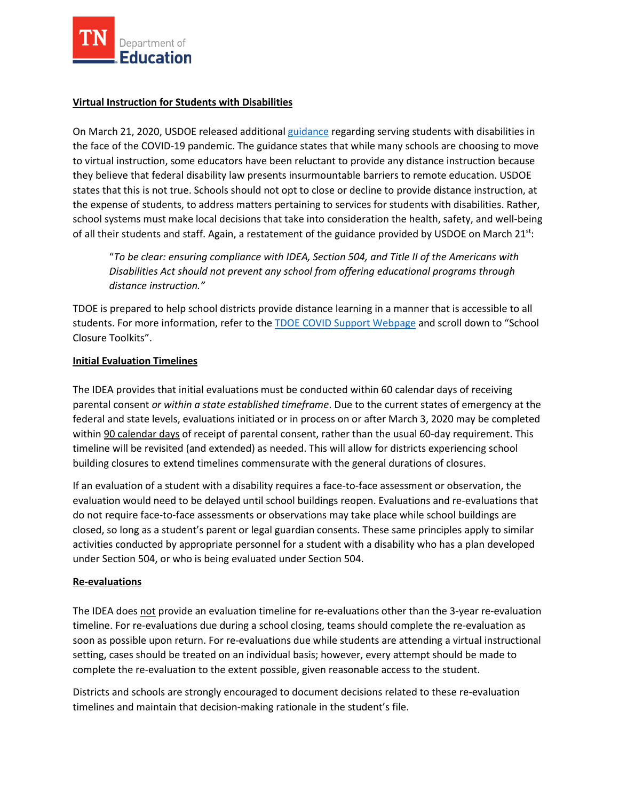

## **Virtual Instruction for Students with Disabilities**

 the face of the COVID-19 pandemic. The guidance states that while many schools are choosing to move the expense of students, to address matters pertaining to services for students with disabilities. Rather, school systems must make local decisions that take into consideration the health, safety, and well-being of all their students and staff. Again, a restatement of the guidance provided by USDOE on March 21<sup>st</sup>: On March 21, 2020, USDOE released additional [guidance r](https://www2.ed.gov/about/offices/list/ocr/frontpage/faq/rr/policyguidance/Supple%20Fact%20Sheet%203.21.20%20FINAL.pdf?utm_content=&utm_medium=email&utm_name=&utm_source=govdelivery&utm_term=)egarding serving students with disabilities in to virtual instruction, some educators have been reluctant to provide any distance instruction because they believe that federal disability law presents insurmountable barriers to remote education. USDOE states that this is not true. Schools should not opt to close or decline to provide distance instruction, at

 *Disabilities Act should not prevent any school from offering educational programs through distance instruction."* "*To be clear: ensuring compliance with IDEA, Section 504, and Title II of the Americans with* 

students. For more information, refer to the **TDOE COVID Support Webpage** and scroll down to "School TDOE is prepared to help school districts provide distance learning in a manner that is accessible to all Closure Toolkits".

### **Initial Evaluation Timelines**

 The IDEA provides that initial evaluations must be conducted within 60 calendar days of receiving federal and state levels, evaluations initiated or in process on or after March 3, 2020 may be completed within 90 calendar days of receipt of parental consent, rather than the usual 60-day requirement. This building closures to extend timelines commensurate with the general durations of closures. parental consent *or within a state established timeframe*. Due to the current states of emergency at the timeline will be revisited (and extended) as needed. This will allow for districts experiencing school

 If an evaluation of a student with a disability requires a face-to-face assessment or observation, the do not require face-to-face assessments or observations may take place while school buildings are evaluation would need to be delayed until school buildings reopen. Evaluations and re-evaluations that closed, so long as a student's parent or legal guardian consents. These same principles apply to similar activities conducted by appropriate personnel for a student with a disability who has a plan developed under Section 504, or who is being evaluated under Section 504.

### **Re-evaluations**

 setting, cases should be treated on an individual basis; however, every attempt should be made to complete the re-evaluation to the extent possible, given reasonable access to the student. The IDEA does not provide an evaluation timeline for re-evaluations other than the 3-year re-evaluation timeline. For re-evaluations due during a school closing, teams should complete the re-evaluation as soon as possible upon return. For re-evaluations due while students are attending a virtual instructional

complete the re-evaluation to the extent possible, given reasonable access to the student.<br>Districts and schools are strongly encouraged to document decisions related to these re-evaluation timelines and maintain that decision-making rationale in the student's file.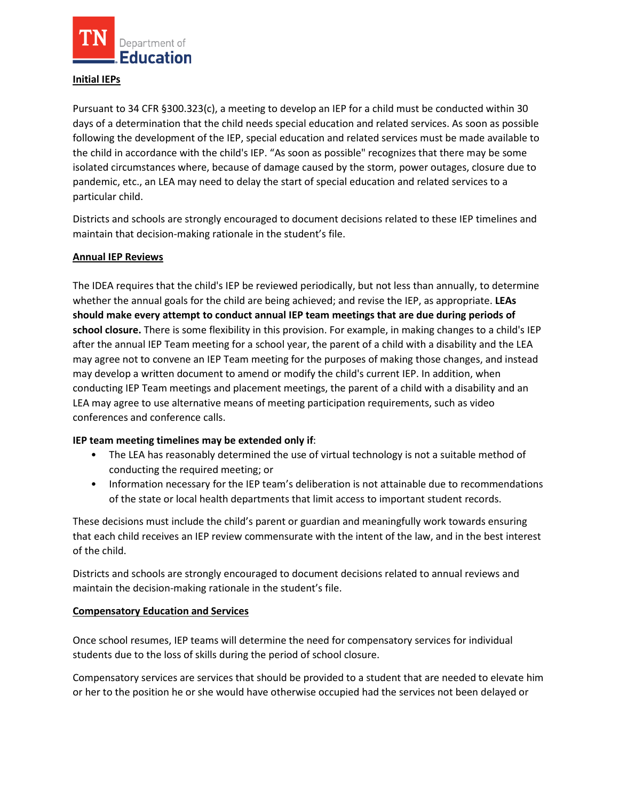

#### **Initial IEPs**

 Pursuant to 34 CFR §300.323(c), a meeting to develop an IEP for a child must be conducted within 30 days of a determination that the child needs special education and related services. As soon as possible following the development of the IEP, special education and related services must be made available to the child in accordance with the child's IEP. "As soon as possible" recognizes that there may be some pandemic, etc., an LEA may need to delay the start of special education and related services to a isolated circumstances where, because of damage caused by the storm, power outages, closure due to particular child.

 Districts and schools are strongly encouraged to document decisions related to these IEP timelines and maintain that decision-making rationale in the student's file.

### **Annual IEP Reviews**

 The IDEA requires that the child's IEP be reviewed periodically, but not less than annually, to determine whether the annual goals for the child are being achieved; and revise the IEP, as appropriate. **LEAs**  after the annual IEP Team meeting for a school year, the parent of a child with a disability and the LEA may agree not to convene an IEP Team meeting for the purposes of making those changes, and instead may develop a written document to amend or modify the child's current IEP. In addition, when LEA may agree to use alternative means of meeting participation requirements, such as video **should make every attempt to conduct annual IEP team meetings that are due during periods of school closure.** There is some flexibility in this provision. For example, in making changes to a child's IEP conducting IEP Team meetings and placement meetings, the parent of a child with a disability and an conferences and conference calls.

### **IEP team meeting timelines may be extended only if**:

- • The LEA has reasonably determined the use of virtual technology is not a suitable method of conducting the required meeting; or
- Information necessary for the IEP team's deliberation is not attainable due to recommendations of the state or local health departments that limit access to important student records.

 that each child receives an IEP review commensurate with the intent of the law, and in the best interest These decisions must include the child's parent or guardian and meaningfully work towards ensuring of the child.

 Districts and schools are strongly encouraged to document decisions related to annual reviews and maintain the decision-making rationale in the student's file.

### **Compensatory Education and Services**

 students due to the loss of skills during the period of school closure. Once school resumes, IEP teams will determine the need for compensatory services for individual

 or her to the position he or she would have otherwise occupied had the services not been delayed or Compensatory services are services that should be provided to a student that are needed to elevate him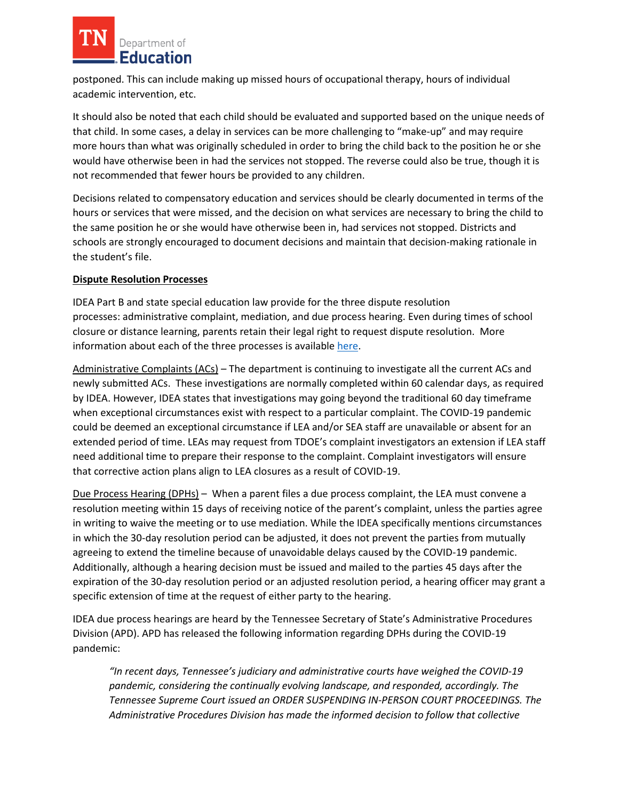

 postponed. This can include making up missed hours of occupational therapy, hours of individual academic intervention, etc.

 that child. In some cases, a delay in services can be more challenging to "make-up" and may require more hours than what was originally scheduled in order to bring the child back to the position he or she would have otherwise been in had the services not stopped. The reverse could also be true, though it is It should also be noted that each child should be evaluated and supported based on the unique needs of not recommended that fewer hours be provided to any children.

Decisions related to compensatory education and services should be clearly documented in terms of the hours or services that were missed, and the decision on what services are necessary to bring the child to the same position he or she would have otherwise been in, had services not stopped. Districts and schools are strongly encouraged to document decisions and maintain that decision-making rationale in the student's file.

### **Dispute Resolution Processes**

information about each of the three processes is availabl[e here.](https://www.tn.gov/education/legal-services/special-education-legal-services/legal-dispute-resolution-processes.html) IDEA Part B and state special education law provide for the three dispute resolution processes: administrative complaint, mediation, and due process hearing. Even during times of school closure or distance learning, parents retain their legal right to request dispute resolution. More

Administrative Complaints (ACs) - The department is continuing to investigate all the current ACs and newly submitted ACs. These investigations are normally completed within 60 calendar days, as required by IDEA. However, IDEA states that investigations may going beyond the traditional 60 day timeframe need additional time to prepare their response to the complaint. Complaint investigators will ensure that corrective action plans align to LEA closures as a result of COVID-19. when exceptional circumstances exist with respect to a particular complaint. The COVID-19 pandemic could be deemed an exceptional circumstance if LEA and/or SEA staff are unavailable or absent for an extended period of time. LEAs may request from TDOE's complaint investigators an extension if LEA staff

Due Process Hearing (DPHs) - When a parent files a due process complaint, the LEA must convene a in writing to waive the meeting or to use mediation. While the IDEA specifically mentions circumstances in which the 30-day resolution period can be adjusted, it does not prevent the parties from mutually resolution meeting within 15 days of receiving notice of the parent's complaint, unless the parties agree agreeing to extend the timeline because of unavoidable delays caused by the COVID-19 pandemic. Additionally, although a hearing decision must be issued and mailed to the parties 45 days after the expiration of the 30-day resolution period or an adjusted resolution period, a hearing officer may grant a specific extension of time at the request of either party to the hearing.

IDEA due process hearings are heard by the Tennessee Secretary of State's Administrative Procedures Division (APD). APD has released the following information regarding DPHs during the COVID-19 pandemic:

 *Administrative Procedures Division has made the informed decision to follow that collective "In recent days, Tennessee's judiciary and administrative courts have weighed the COVID-19 pandemic, considering the continually evolving landscape, and responded, accordingly. The Tennessee Supreme Court issued an ORDER SUSPENDING IN-PERSON COURT PROCEEDINGS. The*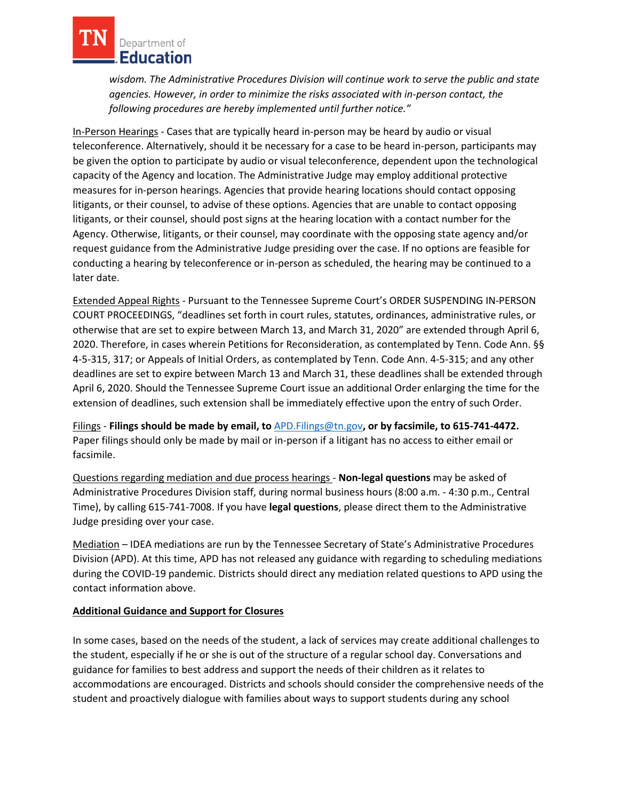

*wisdom. The Administrative Procedures Division will continue work to serve the public and state agencies. However, in order to minimize the risks associated with in-person contact, the following procedures are hereby implemented until further notice."* 

 In-Person Hearings - Cases that are typically heard in-person may be heard by audio or visual teleconference. Alternatively, should it be necessary for a case to be heard in-person, participants may be given the option to participate by audio or visual teleconference, dependent upon the technological litigants, or their counsel, should post signs at the hearing location with a contact number for the Agency. Otherwise, litigants, or their counsel, may coordinate with the opposing state agency and/or request guidance from the Administrative Judge presiding over the case. If no options are feasible for capacity of the Agency and location. The Administrative Judge may employ additional protective measures for in-person hearings. Agencies that provide hearing locations should contact opposing litigants, or their counsel, to advise of these options. Agencies that are unable to contact opposing conducting a hearing by teleconference or in-person as scheduled, the hearing may be continued to a later date.

Extended Appeal Rights - Pursuant to the Tennessee Supreme Court's ORDER SUSPENDING IN-PERSON otherwise that are set to expire between March 13, and March 31, 2020" are extended through April 6, deadlines are set to expire between March 13 and March 31, these deadlines shall be extended through April 6, 2020. Should the Tennessee Supreme Court issue an additional Order enlarging the time for the extension of deadlines, such extension shall be immediately effective upon the entry of such Order. COURT PROCEEDINGS, "deadlines set forth in court rules, statutes, ordinances, administrative rules, or 2020. Therefore, in cases wherein Petitions for Reconsideration, as contemplated by Tenn. Code Ann. §§ 4-5-315, 317; or Appeals of Initial Orders, as contemplated by Tenn. Code Ann. 4-5-315; and any other

 Filings - **Filings should be made by email, to** [APD.Filings@tn.gov](mailto:APD.Filings@tn.gov)**, or by facsimile, to 615-741-4472.**  Paper filings should only be made by mail or in-person if a litigant has no access to either email or facsimile.

 Questions regarding mediation and due process hearings - **Non-legal questions** may be asked of Administrative Procedures Division staff, during normal business hours (8:00 a.m. - 4:30 p.m., Central Time), by calling 615-741-7008. If you have **legal questions**, please direct them to the Administrative Judge presiding over your case.

Mediation - IDEA mediations are run by the Tennessee Secretary of State's Administrative Procedures contact information above. Division (APD). At this time, APD has not released any guidance with regarding to scheduling mediations during the COVID-19 pandemic. Districts should direct any mediation related questions to APD using the

## **Additional Guidance and Support for Closures**

 the student, especially if he or she is out of the structure of a regular school day. Conversations and guidance for families to best address and support the needs of their children as it relates to accommodations are encouraged. Districts and schools should consider the comprehensive needs of the student and proactively dialogue with families about ways to support students during any school In some cases, based on the needs of the student, a lack of services may create additional challenges to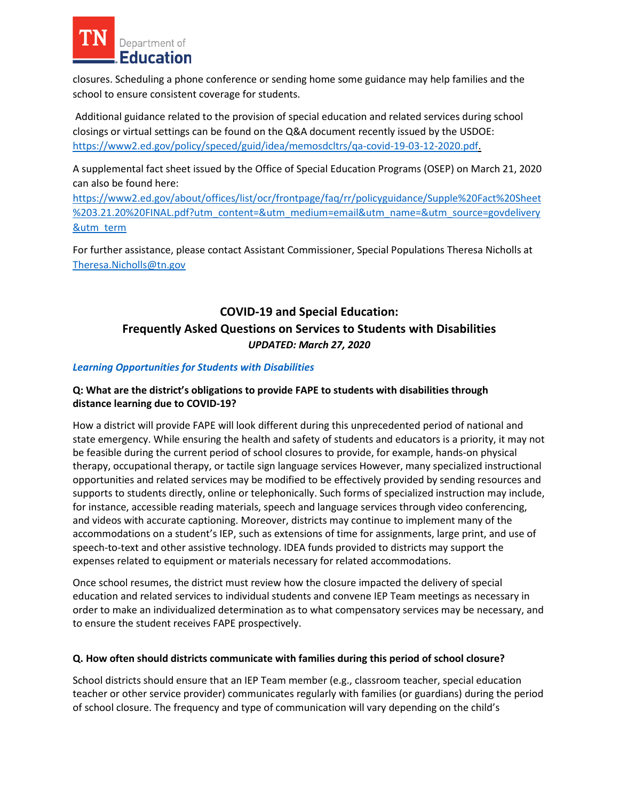

closures. Scheduling a phone conference or sending home some guidance may help families and the school to ensure consistent coverage for students.

 closings or virtual settings can be found on the Q&A document recently issued by the USDOE: Additional guidance related to the provision of special education and related services during school [https://www2.ed.gov/policy/speced/guid/idea/memosdcltrs/qa-covid-19-03-12-2020.pdf.](https://www2.ed.gov/policy/speced/guid/idea/memosdcltrs/qa-covid-19-03-12-2020.pdf)

 A supplemental fact sheet issued by the Office of Special Education Programs (OSEP) on March 21, 2020 can also be found here:

[https://www2.ed.gov/about/offices/list/ocr/frontpage/faq/rr/policyguidance/Supple%20Fact%20Sheet](https://www2.ed.gov/about/offices/list/ocr/frontpage/faq/rr/policyguidance/Supple%20Fact%20Sheet%203.21.20%20FINAL.pdf?utm_content=&utm_medium=email&utm_name=&utm_source=govdelivery&utm_term)  [%203.21.20%20FINAL.pdf?utm\\_content=&utm\\_medium=email&utm\\_name=&utm\\_source=govdelivery](https://www2.ed.gov/about/offices/list/ocr/frontpage/faq/rr/policyguidance/Supple%20Fact%20Sheet%203.21.20%20FINAL.pdf?utm_content=&utm_medium=email&utm_name=&utm_source=govdelivery&utm_term)  **&utm\_term** 

For further assistance, please contact Assistant Commissioner, Special Populations Theresa Nicholls at [Theresa.Nicholls@tn.gov](mailto:Theresa.Nicholls@tn.gov) 

# **COVID-19 and Special Education: Frequently Asked Questions on Services to Students with Disabilities**  *UPDATED: March 27, 2020*

### *Learning Opportunities for Students with Disabilities*

### **Q: What are the district's obligations to provide FAPE to students with disabilities through distance learning due to COVID-19?**

 state emergency. While ensuring the health and safety of students and educators is a priority, it may not opportunities and related services may be modified to be effectively provided by sending resources and for instance, accessible reading materials, speech and language services through video conferencing, and videos with accurate captioning. Moreover, districts may continue to implement many of the How a district will provide FAPE will look different during this unprecedented period of national and be feasible during the current period of school closures to provide, for example, hands-on physical therapy, occupational therapy, or tactile sign language services However, many specialized instructional supports to students directly, online or telephonically. Such forms of specialized instruction may include, accommodations on a student's IEP, such as extensions of time for assignments, large print, and use of speech-to-text and other assistive technology. IDEA funds provided to districts may support the expenses related to equipment or materials necessary for related accommodations.

 education and related services to individual students and convene IEP Team meetings as necessary in order to make an individualized determination as to what compensatory services may be necessary, and to ensure the student receives FAPE prospectively. Once school resumes, the district must review how the closure impacted the delivery of special

#### **Q. How often should districts communicate with families during this period of school closure?**

 of school closure. The frequency and type of communication will vary depending on the child's School districts should ensure that an IEP Team member (e.g., classroom teacher, special education teacher or other service provider) communicates regularly with families (or guardians) during the period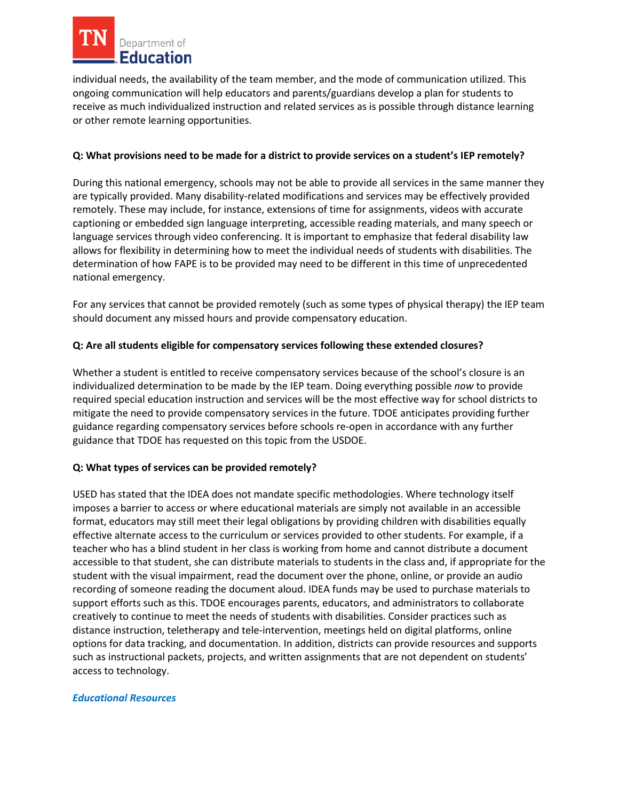

 individual needs, the availability of the team member, and the mode of communication utilized. This ongoing communication will help educators and parents/guardians develop a plan for students to receive as much individualized instruction and related services as is possible through distance learning or other remote learning opportunities.

### **Q: What provisions need to be made for a district to provide services on a student's IEP remotely?**

 During this national emergency, schools may not be able to provide all services in the same manner they are typically provided. Many disability-related modifications and services may be effectively provided language services through video conferencing. It is important to emphasize that federal disability law allows for flexibility in determining how to meet the individual needs of students with disabilities. The determination of how FAPE is to be provided may need to be different in this time of unprecedented remotely. These may include, for instance, extensions of time for assignments, videos with accurate captioning or embedded sign language interpreting, accessible reading materials, and many speech or national emergency.

 should document any missed hours and provide compensatory education. For any services that cannot be provided remotely (such as some types of physical therapy) the IEP team

### **Q: Are all students eligible for compensatory services following these extended closures?**

 Whether a student is entitled to receive compensatory services because of the school's closure is an required special education instruction and services will be the most effective way for school districts to guidance that TDOE has requested on this topic from the USDOE. individualized determination to be made by the IEP team. Doing everything possible *now* to provide mitigate the need to provide compensatory services in the future. TDOE anticipates providing further guidance regarding compensatory services before schools re-open in accordance with any further

### **Q: What types of services can be provided remotely?**

 imposes a barrier to access or where educational materials are simply not available in an accessible format, educators may still meet their legal obligations by providing children with disabilities equally recording of someone reading the document aloud. IDEA funds may be used to purchase materials to creatively to continue to meet the needs of students with disabilities. Consider practices such as distance instruction, teletherapy and tele-intervention, meetings held on digital platforms, online USED has stated that the IDEA does not mandate specific methodologies. Where technology itself effective alternate access to the curriculum or services provided to other students. For example, if a teacher who has a blind student in her class is working from home and cannot distribute a document accessible to that student, she can distribute materials to students in the class and, if appropriate for the student with the visual impairment, read the document over the phone, online, or provide an audio support efforts such as this. TDOE encourages parents, educators, and administrators to collaborate options for data tracking, and documentation. In addition, districts can provide resources and supports such as instructional packets, projects, and written assignments that are not dependent on students' access to technology.

### *Educational Resources*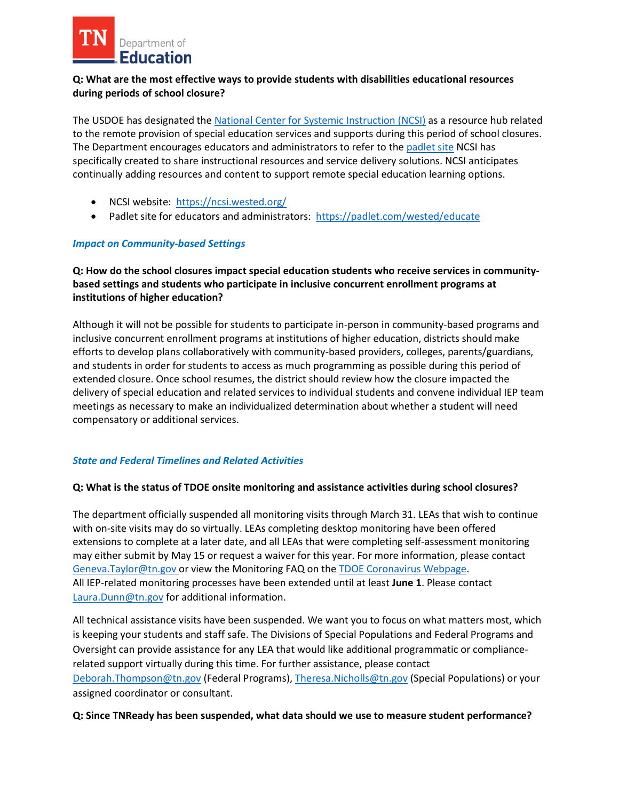

### **Q: What are the most effective ways to provide students with disabilities educational resources during periods of school closure?**

 to the remote provision of special education services and supports during this period of school closures. continually adding resources and content to support remote special education learning options. The USDOE has designated the [National Center for Systemic Instruction \(NCSI\)](https://ncsi.wested.org/) as a resource hub related The Department encourages educators and administrators to refer to the [padlet site](https://padlet.com/wested/educate) NCSI has specifically created to share instructional resources and service delivery solutions. NCSI anticipates

- NCSI website: https://ncsi.wested.org/
- Padlet site for educators and administrators: https://padlet.com/wested/educate

### *Impact on Community-based Settings*

 **based settings and students who participate in inclusive concurrent enrollment programs at Q: How do the school closures impact special education students who receive services in communityinstitutions of higher education?** 

 inclusive concurrent enrollment programs at institutions of higher education, districts should make and students in order for students to access as much programming as possible during this period of meetings as necessary to make an individualized determination about whether a student will need Although it will not be possible for students to participate in-person in community-based programs and efforts to develop plans collaboratively with community-based providers, colleges, parents/guardians, extended closure. Once school resumes, the district should review how the closure impacted the delivery of special education and related services to individual students and convene individual IEP team compensatory or additional services.

## *State and Federal Timelines and Related Activities*

## **Q: What is the status of TDOE onsite monitoring and assistance activities during school closures?**

 with on-site visits may do so virtually. LEAs completing desktop monitoring have been offered extensions to complete at a later date, and all LEAs that were completing self-assessment monitoring may either submit by May 15 or request a waiver for this year. For more information, please contact [Geneva.Taylor@tn.gov](mailto:Geneva.Taylor@tn.gov) or view the Monitoring FAQ on the [TDOE Coronavirus Webpage.](https://www.tn.gov/education/health-and-safety/update-on-coronavirus.html) All IEP-related monitoring processes have been extended until at least **June 1**. Please contact The department officially suspended all monitoring visits through March 31. LEAs that wish to continue [Laura.Dunn@tn.gov](mailto:Laura.Dunn@tn.gov) for additional information.

 All technical assistance visits have been suspended. We want you to focus on what matters most, which is keeping your students and staff safe. The Divisions of Special Populations and Federal Programs and Oversight can provide assistance for any LEA that would like additional programmatic or compliancerelated support virtually during this time. For further assistance, please contact [Deborah.Thompson@tn.gov](mailto:Deborah.Thompson@tn.gov) (Federal Programs), [Theresa.Nicholls@tn.gov \(](mailto:Theresa.Nicholls@tn.gov)Special Populations[\) or your](mailto:Theresa.Nicholls@tn.gov) assigned coordinator or consultant.

### **Q: Since TNReady has been suspended, what data should we use to measure student performance?**